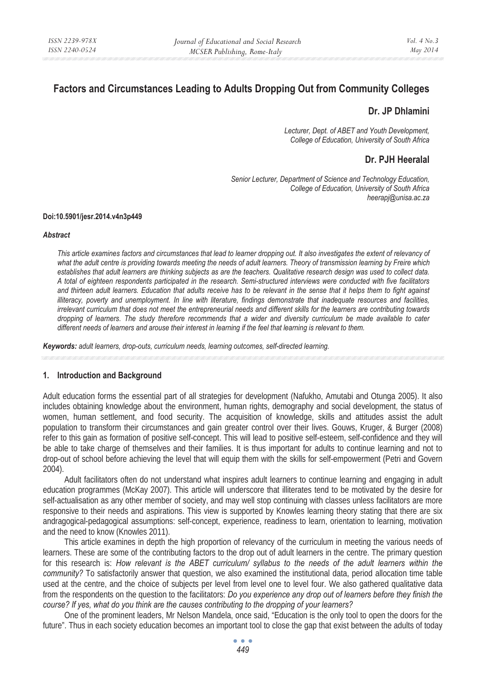# **Factors and Circumstances Leading to Adults Dropping Out from Community Colleges**

# **Dr. JP Dhlamini**

*Lecturer, Dept. of ABET and Youth Development, College of Education, University of South Africa* 

# **Dr. PJH Heeralal**

*Senior Lecturer, Department of Science and Technology Education, College of Education, University of South Africa heerapj@unisa.ac.za* 

### **Doi:10.5901/jesr.2014.v4n3p449**

#### *Abstract*

*This article examines factors and circumstances that lead to learner dropping out. It also investigates the extent of relevancy of what the adult centre is providing towards meeting the needs of adult learners. Theory of transmission learning by Freire which establishes that adult learners are thinking subjects as are the teachers. Qualitative research design was used to collect data. A total of eighteen respondents participated in the research. Semi-structured interviews were conducted with five facilitators and thirteen adult learners. Education that adults receive has to be relevant in the sense that it helps them to fight against illiteracy, poverty and unemployment. In line with literature, findings demonstrate that inadequate resources and facilities, irrelevant curriculum that does not meet the entrepreneurial needs and different skills for the learners are contributing towards dropping of learners. The study therefore recommends that a wider and diversity curriculum be made available to cater different needs of learners and arouse their interest in learning if the feel that learning is relevant to them.* 

*Keywords: adult learners, drop-outs, curriculum needs, learning outcomes, self-directed learning.* 

# **1. Introduction and Background**

Adult education forms the essential part of all strategies for development (Nafukho, Amutabi and Otunga 2005). It also includes obtaining knowledge about the environment, human rights, demography and social development, the status of women, human settlement, and food security. The acquisition of knowledge, skills and attitudes assist the adult population to transform their circumstances and gain greater control over their lives. Gouws, Kruger, & Burger (2008) refer to this gain as formation of positive self-concept. This will lead to positive self-esteem, self-confidence and they will be able to take charge of themselves and their families. It is thus important for adults to continue learning and not to drop-out of school before achieving the level that will equip them with the skills for self-empowerment (Petri and Govern 2004).

Adult facilitators often do not understand what inspires adult learners to continue learning and engaging in adult education programmes (McKay 2007). This article will underscore that illiterates tend to be motivated by the desire for self-actualisation as any other member of society, and may well stop continuing with classes unless facilitators are more responsive to their needs and aspirations. This view is supported by Knowles learning theory stating that there are six andragogical-pedagogical assumptions: self-concept, experience, readiness to learn, orientation to learning, motivation and the need to know (Knowles 2011).

This article examines in depth the high proportion of relevancy of the curriculum in meeting the various needs of learners. These are some of the contributing factors to the drop out of adult learners in the centre. The primary question for this research is: *How relevant is the ABET curriculum/ syllabus to the needs of the adult learners within the community?* To satisfactorily answer that question, we also examined the institutional data, period allocation time table used at the centre, and the choice of subjects per level from level one to level four. We also gathered qualitative data from the respondents on the question to the facilitators: *Do you experience any drop out of learners before they finish the course? If yes, what do you think are the causes contributing to the dropping of your learners?*

One of the prominent leaders, Mr Nelson Mandela, once said, "Education is the only tool to open the doors for the future". Thus in each society education becomes an important tool to close the gap that exist between the adults of today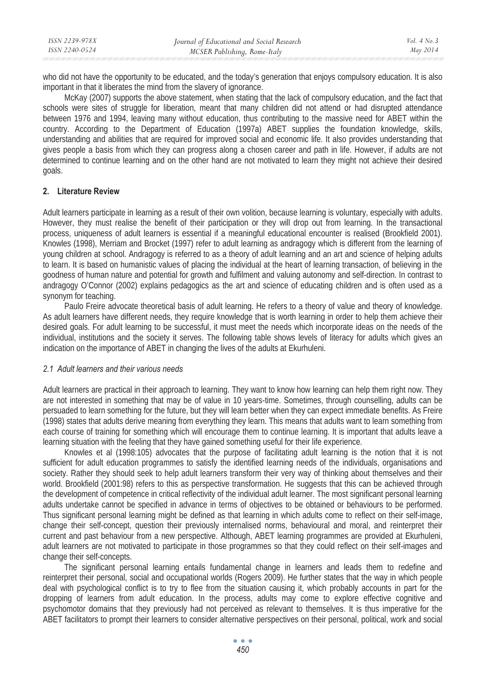| ISSN 2239-978X | Journal of Educational and Social Research | Vol. $4$ No. $3$ |
|----------------|--------------------------------------------|------------------|
| ISSN 2240-0524 | MCSER Publishing, Rome-Italy               | May 2014         |

who did not have the opportunity to be educated, and the today's generation that enjoys compulsory education. It is also important in that it liberates the mind from the slavery of ignorance.

McKay (2007) supports the above statement, when stating that the lack of compulsory education, and the fact that schools were sites of struggle for liberation, meant that many children did not attend or had disrupted attendance between 1976 and 1994, leaving many without education, thus contributing to the massive need for ABET within the country. According to the Department of Education (1997a) ABET supplies the foundation knowledge, skills, understanding and abilities that are required for improved social and economic life. It also provides understanding that gives people a basis from which they can progress along a chosen career and path in life. However, if adults are not determined to continue learning and on the other hand are not motivated to learn they might not achieve their desired goals.

### **2. Literature Review**

Adult learners participate in learning as a result of their own volition, because learning is voluntary, especially with adults. However, they must realise the benefit of their participation or they will drop out from learning. In the transactional process, uniqueness of adult learners is essential if a meaningful educational encounter is realised (Brookfield 2001). Knowles (1998), Merriam and Brocket (1997) refer to adult learning as andragogy which is different from the learning of young children at school. Andragogy is referred to as a theory of adult learning and an art and science of helping adults to learn. It is based on humanistic values of placing the individual at the heart of learning transaction, of believing in the goodness of human nature and potential for growth and fulfilment and valuing autonomy and self-direction. In contrast to andragogy O'Connor (2002) explains pedagogics as the art and science of educating children and is often used as a synonym for teaching.

Paulo Freire advocate theoretical basis of adult learning. He refers to a theory of value and theory of knowledge. As adult learners have different needs, they require knowledge that is worth learning in order to help them achieve their desired goals. For adult learning to be successful, it must meet the needs which incorporate ideas on the needs of the individual, institutions and the society it serves. The following table shows levels of literacy for adults which gives an indication on the importance of ABET in changing the lives of the adults at Ekurhuleni.

### *2.1 Adult learners and their various needs*

Adult learners are practical in their approach to learning. They want to know how learning can help them right now. They are not interested in something that may be of value in 10 years-time. Sometimes, through counselling, adults can be persuaded to learn something for the future, but they will learn better when they can expect immediate benefits. As Freire (1998) states that adults derive meaning from everything they learn. This means that adults want to learn something from each course of training for something which will encourage them to continue learning. It is important that adults leave a learning situation with the feeling that they have gained something useful for their life experience.

Knowles et al (1998:105) advocates that the purpose of facilitating adult learning is the notion that it is not sufficient for adult education programmes to satisfy the identified learning needs of the individuals, organisations and society. Rather they should seek to help adult learners transform their very way of thinking about themselves and their world. Brookfield (2001:98) refers to this as perspective transformation. He suggests that this can be achieved through the development of competence in critical reflectivity of the individual adult learner. The most significant personal learning adults undertake cannot be specified in advance in terms of objectives to be obtained or behaviours to be performed. Thus significant personal learning might be defined as that learning in which adults come to reflect on their self-image, change their self-concept, question their previously internalised norms, behavioural and moral, and reinterpret their current and past behaviour from a new perspective. Although, ABET learning programmes are provided at Ekurhuleni, adult learners are not motivated to participate in those programmes so that they could reflect on their self-images and change their self-concepts.

The significant personal learning entails fundamental change in learners and leads them to redefine and reinterpret their personal, social and occupational worlds (Rogers 2009). He further states that the way in which people deal with psychological conflict is to try to flee from the situation causing it, which probably accounts in part for the dropping of learners from adult education. In the process, adults may come to explore effective cognitive and psychomotor domains that they previously had not perceived as relevant to themselves. It is thus imperative for the ABET facilitators to prompt their learners to consider alternative perspectives on their personal, political, work and social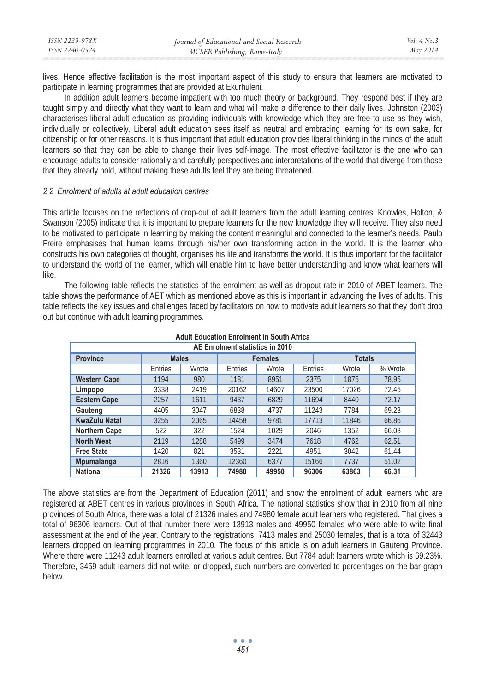| ISSN 2239-978X | Journal of Educational and Social Research | Vol. $4$ No. $3$ |
|----------------|--------------------------------------------|------------------|
| ISSN 2240-0524 | MCSER Publishing, Rome-Italy               | May 2014         |

lives. Hence effective facilitation is the most important aspect of this study to ensure that learners are motivated to participate in learning programmes that are provided at Ekurhuleni.

In addition adult learners become impatient with too much theory or background. They respond best if they are taught simply and directly what they want to learn and what will make a difference to their daily lives. Johnston (2003) characterises liberal adult education as providing individuals with knowledge which they are free to use as they wish, individually or collectively. Liberal adult education sees itself as neutral and embracing learning for its own sake, for citizenship or for other reasons. It is thus important that adult education provides liberal thinking in the minds of the adult learners so that they can be able to change their lives self-image. The most effective facilitator is the one who can encourage adults to consider rationally and carefully perspectives and interpretations of the world that diverge from those that they already hold, without making these adults feel they are being threatened.

### *2.2 Enrolment of adults at adult education centres*

This article focuses on the reflections of drop-out of adult learners from the adult learning centres. Knowles, Holton, & Swanson (2005) indicate that it is important to prepare learners for the new knowledge they will receive. They also need to be motivated to participate in learning by making the content meaningful and connected to the learner's needs. Paulo Freire emphasises that human learns through his/her own transforming action in the world. It is the learner who constructs his own categories of thought, organises his life and transforms the world. It is thus important for the facilitator to understand the world of the learner, which will enable him to have better understanding and know what learners will like.

The following table reflects the statistics of the enrolment as well as dropout rate in 2010 of ABET learners. The table shows the performance of AET which as mentioned above as this is important in advancing the lives of adults. This table reflects the key issues and challenges faced by facilitators on how to motivate adult learners so that they don't drop out but continue with adult learning programmes.

| AE Enrolment statistics in 2010 |              |       |                                 |       |         |       |         |
|---------------------------------|--------------|-------|---------------------------------|-------|---------|-------|---------|
| <b>Province</b>                 | <b>Males</b> |       | <b>Totals</b><br><b>Females</b> |       |         |       |         |
|                                 | Entries      | Wrote | Entries                         | Wrote | Entries | Wrote | % Wrote |
| <b>Western Cape</b>             | 1194         | 980   | 1181                            | 8951  | 2375    | 1875  | 78.95   |
| Limpopo                         | 3338         | 2419  | 20162                           | 14607 | 23500   | 17026 | 72.45   |
| <b>Eastern Cape</b>             | 2257         | 1611  | 9437                            | 6829  | 11694   | 8440  | 72.17   |
| Gauteng                         | 4405         | 3047  | 6838                            | 4737  | 11243   | 7784  | 69.23   |
| <b>KwaZulu Natal</b>            | 3255         | 2065  | 14458                           | 9781  | 17713   | 11846 | 66.86   |
| <b>Northern Cape</b>            | 522          | 322   | 1524                            | 1029  | 2046    | 1352  | 66.03   |
| <b>North West</b>               | 2119         | 1288  | 5499                            | 3474  | 7618    | 4762  | 62.51   |
| <b>Free State</b>               | 1420         | 821   | 3531                            | 2221  | 4951    | 3042  | 61.44   |
| Mpumalanga                      | 2816         | 1360  | 12360                           | 6377  | 15166   | 7737  | 51.02   |
| <b>National</b>                 | 21326        | 13913 | 74980                           | 49950 | 96306   | 63863 | 66.31   |

# **Adult Education Enrolment in South Africa**

The above statistics are from the Department of Education (2011) and show the enrolment of adult learners who are registered at ABET centres in various provinces in South Africa. The national statistics show that in 2010 from all nine provinces of South Africa, there was a total of 21326 males and 74980 female adult learners who registered. That gives a total of 96306 learners. Out of that number there were 13913 males and 49950 females who were able to write final assessment at the end of the year. Contrary to the registrations, 7413 males and 25030 females, that is a total of 32443 learners dropped on learning programmes in 2010. The focus of this article is on adult learners in Gauteng Province. Where there were 11243 adult learners enrolled at various adult centres. But 7784 adult learners wrote which is 69.23%. Therefore, 3459 adult learners did not write, or dropped, such numbers are converted to percentages on the bar graph below.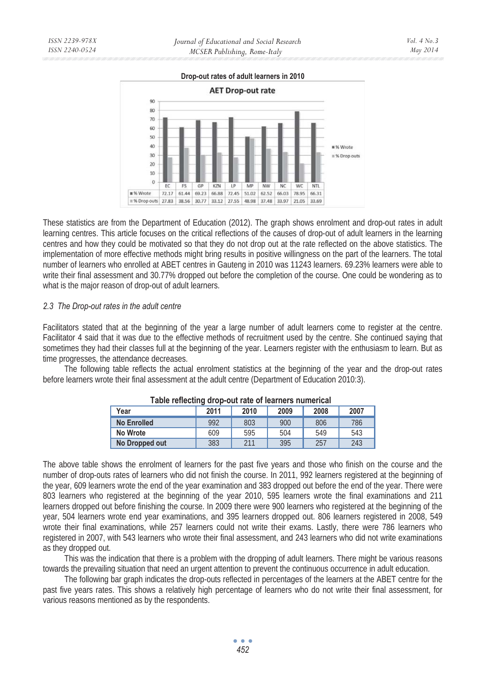These statistics are from the Department of Education (2012). The graph shows enrolment and drop-out rates in adult learning centres. This article focuses on the critical reflections of the causes of drop-out of adult learners in the learning centres and how they could be motivated so that they do not drop out at the rate reflected on the above statistics. The implementation of more effective methods might bring results in positive willingness on the part of the learners. The total number of learners who enrolled at ABET centres in Gauteng in 2010 was 11243 learners. 69.23% learners were able to write their final assessment and 30.77% dropped out before the completion of the course. One could be wondering as to what is the major reason of drop-out of adult learners.

# *2.3 The Drop-out rates in the adult centre*

Facilitators stated that at the beginning of the year a large number of adult learners come to register at the centre. Facilitator 4 said that it was due to the effective methods of recruitment used by the centre. She continued saying that sometimes they had their classes full at the beginning of the year. Learners register with the enthusiasm to learn. But as time progresses, the attendance decreases.

The following table reflects the actual enrolment statistics at the beginning of the year and the drop-out rates before learners wrote their final assessment at the adult centre (Department of Education 2010:3).

|                                                                                                                           | No Wrote                                                                                                                 | 609 | 595 | 504 | 549 | 543 |  |
|---------------------------------------------------------------------------------------------------------------------------|--------------------------------------------------------------------------------------------------------------------------|-----|-----|-----|-----|-----|--|
|                                                                                                                           | No Dropped out                                                                                                           | 383 | 211 | 395 | 257 | 243 |  |
|                                                                                                                           |                                                                                                                          |     |     |     |     |     |  |
|                                                                                                                           | The above table shows the enrolment of learners for the past five years and those who finish on the course and the       |     |     |     |     |     |  |
| number of drop-outs rates of learners who did not finish the course. In 2011, 992 learners registered at the beginning of |                                                                                                                          |     |     |     |     |     |  |
|                                                                                                                           | the year, 609 learners wrote the end of the year examination and 383 dropped out before the end of the year. There were  |     |     |     |     |     |  |
| 803 learners who registered at the beginning of the year 2010, 595 learners wrote the final examinations and 211          |                                                                                                                          |     |     |     |     |     |  |
|                                                                                                                           | learners dropped out before finishing the course. In 2009 there were 900 learners who registered at the beginning of the |     |     |     |     |     |  |
|                                                                                                                           |                                                                                                                          |     |     |     |     |     |  |

# **Table reflecting drop-out rate of learners numerical Year 2011 2010 2009 2008 2007**

**No Enrolled 1 992 803 900 806 786** 

number of drop-outs rates of learners who did not finish the course. In 2011, 992 learners registered at the beginning of the year, 609 learners wrote the end of the year examination and 383 dropped out before the end of the year. There were 803 learners who registered at the beginning of the year 2010, 595 learners wrote the final examinations and 211 learners dropped out before finishing the course. In 2009 there were 900 learners who registered at the beginning of the year, 504 learners wrote end year examinations, and 395 learners dropped out. 806 learners registered in 2008, 549 wrote their final examinations, while 257 learners could not write their exams. Lastly, there were 786 learners who registered in 2007, with 543 learners who wrote their final assessment, and 243 learners who did not write examinations as they dropped out.

This was the indication that there is a problem with the dropping of adult learners. There might be various reasons towards the prevailing situation that need an urgent attention to prevent the continuous occurrence in adult education.

The following bar graph indicates the drop-outs reflected in percentages of the learners at the ABET centre for the past five years rates. This shows a relatively high percentage of learners who do not write their final assessment, for various reasons mentioned as by the respondents.



**AET Drop-out rate** 90 80  $70$ 60 50 40 96 Wrote  $30$  $\equiv$  % Drop outs  $\overline{20}$ 10  $\overline{0}$  $KZN$ MP  $NW$ EC ES GP  $IP$ NC. **WC** NTL. **II** % Wrote  $72.17$ 61.44 69.23 66.88 72.45 51.02 62.52 66.03 78.95 66.31 #% Drop outs 27.83 38.56 30.77 33.12 27.55 48.98 37.48 33.97 21.05 33.69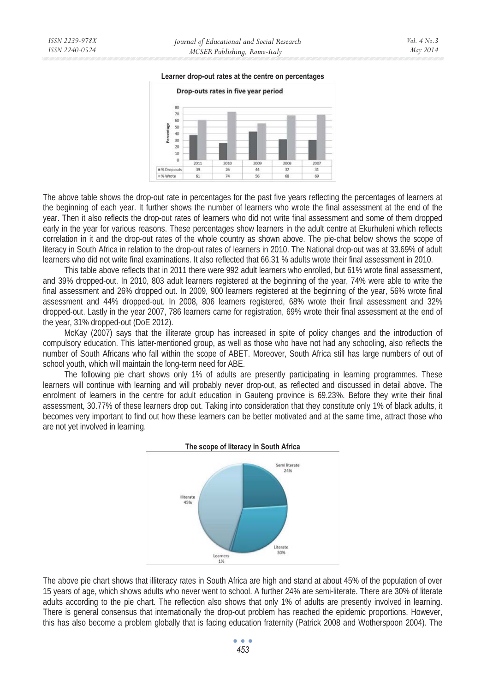#### **Learner drop-out rates at the centre on percentages**



The above table shows the drop-out rate in percentages for the past five years reflecting the percentages of learners at the beginning of each year. It further shows the number of learners who wrote the final assessment at the end of the year. Then it also reflects the drop-out rates of learners who did not write final assessment and some of them dropped early in the year for various reasons. These percentages show learners in the adult centre at Ekurhuleni which reflects correlation in it and the drop-out rates of the whole country as shown above. The pie-chat below shows the scope of literacy in South Africa in relation to the drop-out rates of learners in 2010. The National drop-out was at 33.69% of adult learners who did not write final examinations. It also reflected that 66.31 % adults wrote their final assessment in 2010.

This table above reflects that in 2011 there were 992 adult learners who enrolled, but 61% wrote final assessment, and 39% dropped-out. In 2010, 803 adult learners registered at the beginning of the year, 74% were able to write the final assessment and 26% dropped out. In 2009, 900 learners registered at the beginning of the year, 56% wrote final assessment and 44% dropped-out. In 2008, 806 learners registered, 68% wrote their final assessment and 32% dropped-out. Lastly in the year 2007, 786 learners came for registration, 69% wrote their final assessment at the end of the year, 31% dropped-out (DoE 2012).

McKay (2007) says that the illiterate group has increased in spite of policy changes and the introduction of compulsory education. This latter-mentioned group, as well as those who have not had any schooling, also reflects the number of South Africans who fall within the scope of ABET. Moreover, South Africa still has large numbers of out of school youth, which will maintain the long-term need for ABE.

The following pie chart shows only 1% of adults are presently participating in learning programmes. These learners will continue with learning and will probably never drop-out, as reflected and discussed in detail above. The enrolment of learners in the centre for adult education in Gauteng province is 69.23%. Before they write their final assessment, 30.77% of these learners drop out. Taking into consideration that they constitute only 1% of black adults, it becomes very important to find out how these learners can be better motivated and at the same time, attract those who are not yet involved in learning.



The above pie chart shows that illiteracy rates in South Africa are high and stand at about 45% of the population of over 15 years of age, which shows adults who never went to school. A further 24% are semi-literate. There are 30% of literate adults according to the pie chart. The reflection also shows that only 1% of adults are presently involved in learning. There is general consensus that internationally the drop-out problem has reached the epidemic proportions. However, this has also become a problem globally that is facing education fraternity (Patrick 2008 and Wotherspoon 2004). The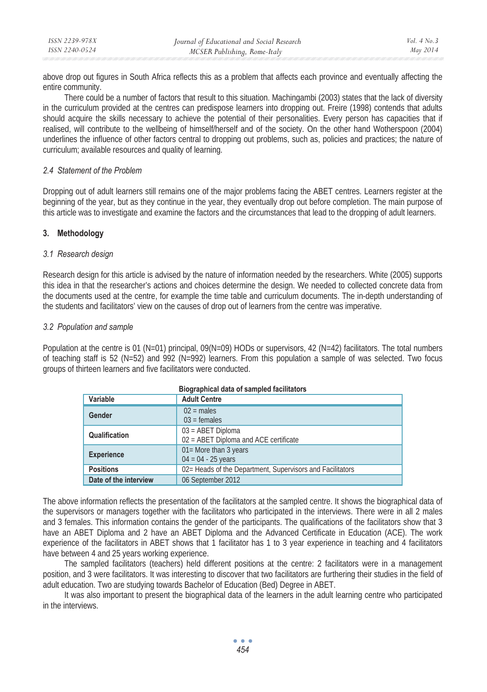above drop out figures in South Africa reflects this as a problem that affects each province and eventually affecting the entire community.

There could be a number of factors that result to this situation. Machingambi (2003) states that the lack of diversity in the curriculum provided at the centres can predispose learners into dropping out. Freire (1998) contends that adults should acquire the skills necessary to achieve the potential of their personalities. Every person has capacities that if realised, will contribute to the wellbeing of himself/herself and of the society. On the other hand Wotherspoon (2004) underlines the influence of other factors central to dropping out problems, such as, policies and practices; the nature of curriculum; available resources and quality of learning.

# *2.4 Statement of the Problem*

Dropping out of adult learners still remains one of the major problems facing the ABET centres. Learners register at the beginning of the year, but as they continue in the year, they eventually drop out before completion. The main purpose of this article was to investigate and examine the factors and the circumstances that lead to the dropping of adult learners.

# **3. Methodology**

# *3.1 Research design*

Research design for this article is advised by the nature of information needed by the researchers. White (2005) supports this idea in that the researcher's actions and choices determine the design. We needed to collected concrete data from the documents used at the centre, for example the time table and curriculum documents. The in-depth understanding of the students and facilitators' view on the causes of drop out of learners from the centre was imperative.

# *3.2 Population and sample*

Population at the centre is 01 (N=01) principal,  $09(N=09)$  HODs or supervisors, 42 (N=42) facilitators. The total numbers of teaching staff is 52 (N=52) and 992 (N=992) learners. From this population a sample of was selected. Two focus groups of thirteen learners and five facilitators were conducted.

| Variable              | <b>Adult Centre</b>                                          |
|-----------------------|--------------------------------------------------------------|
| Gender                | $02$ = males<br>$03$ = females                               |
| Qualification         | $03 = ABET$ Diploma<br>02 = ABET Diploma and ACE certificate |
| <b>Experience</b>     | 01= More than 3 years<br>$04 = 04 - 25$ years                |
| <b>Positions</b>      | 02 = Heads of the Department, Supervisors and Facilitators   |
| Date of the interview | 06 September 2012                                            |

| <b>Biographical data of sampled facilitators</b> |  |  |
|--------------------------------------------------|--|--|
|                                                  |  |  |

The above information reflects the presentation of the facilitators at the sampled centre. It shows the biographical data of the supervisors or managers together with the facilitators who participated in the interviews. There were in all 2 males and 3 females. This information contains the gender of the participants. The qualifications of the facilitators show that 3 have an ABET Diploma and 2 have an ABET Diploma and the Advanced Certificate in Education (ACE). The work experience of the facilitators in ABET shows that 1 facilitator has 1 to 3 year experience in teaching and 4 facilitators have between 4 and 25 years working experience.

The sampled facilitators (teachers) held different positions at the centre: 2 facilitators were in a management position, and 3 were facilitators. It was interesting to discover that two facilitators are furthering their studies in the field of adult education. Two are studying towards Bachelor of Education (Bed) Degree in ABET.

It was also important to present the biographical data of the learners in the adult learning centre who participated in the interviews.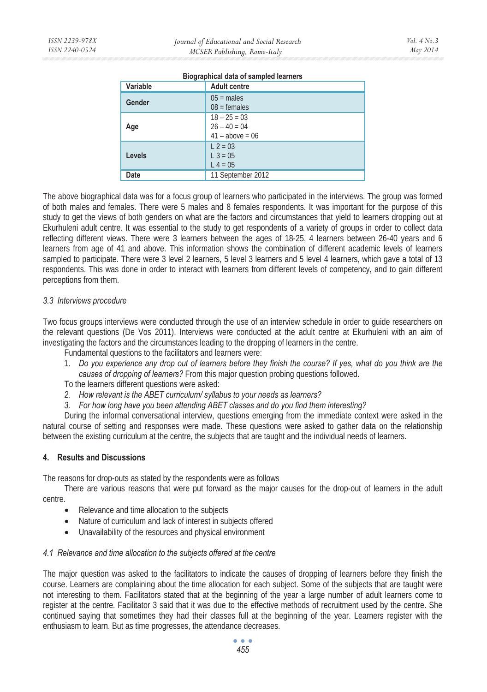| <b>Division in the Complete International Service</b> |                                                       |  |  |  |
|-------------------------------------------------------|-------------------------------------------------------|--|--|--|
| Variable                                              | <b>Adult centre</b>                                   |  |  |  |
| Gender                                                | $05 =$ males<br>$08 =$ females                        |  |  |  |
| Age                                                   | $18 - 25 = 03$<br>$26 - 40 = 04$<br>$41 - above = 06$ |  |  |  |
| <b>Levels</b>                                         | $L$ 2 = 03<br>$L$ 3 = 05<br>$L 4 = 05$                |  |  |  |
| Date                                                  | 11 September 2012                                     |  |  |  |

### **Biographical data of sampled learners**

The above biographical data was for a focus group of learners who participated in the interviews. The group was formed of both males and females. There were 5 males and 8 females respondents. It was important for the purpose of this study to get the views of both genders on what are the factors and circumstances that yield to learners dropping out at Ekurhuleni adult centre. It was essential to the study to get respondents of a variety of groups in order to collect data reflecting different views. There were 3 learners between the ages of 18-25, 4 learners between 26-40 years and 6 learners from age of 41 and above. This information shows the combination of different academic levels of learners sampled to participate. There were 3 level 2 learners, 5 level 3 learners and 5 level 4 learners, which gave a total of 13 respondents. This was done in order to interact with learners from different levels of competency, and to gain different perceptions from them.

# *3.3 Interviews procedure*

Two focus groups interviews were conducted through the use of an interview schedule in order to guide researchers on the relevant questions (De Vos 2011). Interviews were conducted at the adult centre at Ekurhuleni with an aim of investigating the factors and the circumstances leading to the dropping of learners in the centre.

Fundamental questions to the facilitators and learners were:

- 1. *Do you experience any drop out of learners before they finish the course? If yes, what do you think are the causes of dropping of learners?* From this major question probing questions followed.
- To the learners different questions were asked:
- *2. How relevant is the ABET curriculum/ syllabus to your needs as learners?*
- *3. For how long have you been attending ABET classes and do you find them interesting?*

During the informal conversational interview, questions emerging from the immediate context were asked in the natural course of setting and responses were made. These questions were asked to gather data on the relationship between the existing curriculum at the centre, the subjects that are taught and the individual needs of learners.

# **4. Results and Discussions**

The reasons for drop-outs as stated by the respondents were as follows

There are various reasons that were put forward as the major causes for the drop-out of learners in the adult centre.

- Relevance and time allocation to the subjects
- Nature of curriculum and lack of interest in subjects offered
- Unavailability of the resources and physical environment

# *4.1 Relevance and time allocation to the subjects offered at the centre*

The major question was asked to the facilitators to indicate the causes of dropping of learners before they finish the course. Learners are complaining about the time allocation for each subject. Some of the subjects that are taught were not interesting to them. Facilitators stated that at the beginning of the year a large number of adult learners come to register at the centre. Facilitator 3 said that it was due to the effective methods of recruitment used by the centre. She continued saying that sometimes they had their classes full at the beginning of the year. Learners register with the enthusiasm to learn. But as time progresses, the attendance decreases.

> $\bullet$   $\bullet$   $\bullet$ *455*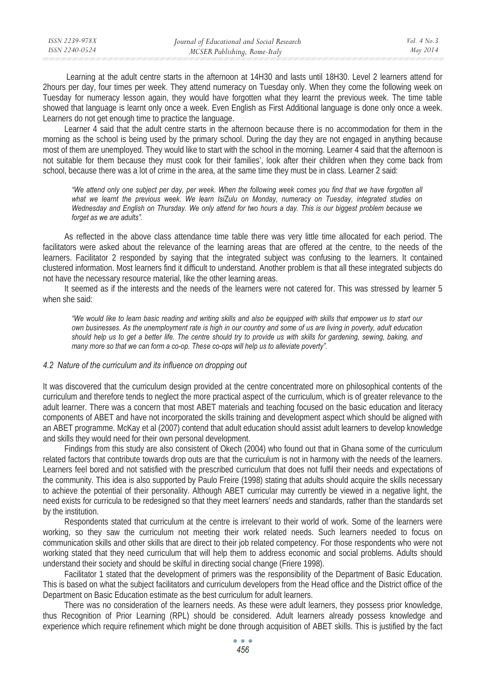| ISSN 2239-978X | Journal of Educational and Social Research | Vol. $4$ No. $3$ |
|----------------|--------------------------------------------|------------------|
| ISSN 2240-0524 | MCSER Publishing, Rome-Italy               | May 2014         |
|                |                                            |                  |

 Learning at the adult centre starts in the afternoon at 14H30 and lasts until 18H30. Level 2 learners attend for 2hours per day, four times per week. They attend numeracy on Tuesday only. When they come the following week on Tuesday for numeracy lesson again, they would have forgotten what they learnt the previous week. The time table showed that language is learnt only once a week. Even English as First Additional language is done only once a week. Learners do not get enough time to practice the language.

Learner 4 said that the adult centre starts in the afternoon because there is no accommodation for them in the morning as the school is being used by the primary school. During the day they are not engaged in anything because most of them are unemployed. They would like to start with the school in the morning. Learner 4 said that the afternoon is not suitable for them because they must cook for their families', look after their children when they come back from school, because there was a lot of crime in the area, at the same time they must be in class. Learner 2 said:

*"We attend only one subject per day, per week. When the following week comes you find that we have forgotten all what we learnt the previous week. We learn IsiZulu on Monday, numeracy on Tuesday, integrated studies on Wednesday and English on Thursday. We only attend for two hours a day. This is our biggest problem because we forget as we are adults".* 

As reflected in the above class attendance time table there was very little time allocated for each period. The facilitators were asked about the relevance of the learning areas that are offered at the centre, to the needs of the learners. Facilitator 2 responded by saying that the integrated subject was confusing to the learners. It contained clustered information. Most learners find it difficult to understand. Another problem is that all these integrated subjects do not have the necessary resource material, like the other learning areas.

It seemed as if the interests and the needs of the learners were not catered for. This was stressed by learner 5 when she said:

*"We would like to learn basic reading and writing skills and also be equipped with skills that empower us to start our own businesses. As the unemployment rate is high in our country and some of us are living in poverty, adult education should help us to get a better life. The centre should try to provide us with skills for gardening, sewing, baking, and many more so that we can form a co-op. These co-ops will help us to alleviate poverty".* 

### *4.2 Nature of the curriculum and its influence on dropping out*

It was discovered that the curriculum design provided at the centre concentrated more on philosophical contents of the curriculum and therefore tends to neglect the more practical aspect of the curriculum, which is of greater relevance to the adult learner. There was a concern that most ABET materials and teaching focused on the basic education and literacy components of ABET and have not incorporated the skills training and development aspect which should be aligned with an ABET programme. McKay et al (2007) contend that adult education should assist adult learners to develop knowledge and skills they would need for their own personal development.

Findings from this study are also consistent of Okech (2004) who found out that in Ghana some of the curriculum related factors that contribute towards drop outs are that the curriculum is not in harmony with the needs of the learners. Learners feel bored and not satisfied with the prescribed curriculum that does not fulfil their needs and expectations of the community. This idea is also supported by Paulo Freire (1998) stating that adults should acquire the skills necessary to achieve the potential of their personality. Although ABET curricular may currently be viewed in a negative light, the need exists for curricula to be redesigned so that they meet learners' needs and standards, rather than the standards set by the institution.

Respondents stated that curriculum at the centre is irrelevant to their world of work. Some of the learners were working, so they saw the curriculum not meeting their work related needs. Such learners needed to focus on communication skills and other skills that are direct to their job related competency. For those respondents who were not working stated that they need curriculum that will help them to address economic and social problems. Adults should understand their society and should be skilful in directing social change (Friere 1998).

Facilitator 1 stated that the development of primers was the responsibility of the Department of Basic Education. This is based on what the subject facilitators and curriculum developers from the Head office and the District office of the Department on Basic Education estimate as the best curriculum for adult learners.

There was no consideration of the learners needs. As these were adult learners, they possess prior knowledge, thus Recognition of Prior Learning (RPL) should be considered. Adult learners already possess knowledge and experience which require refinement which might be done through acquisition of ABET skills. This is justified by the fact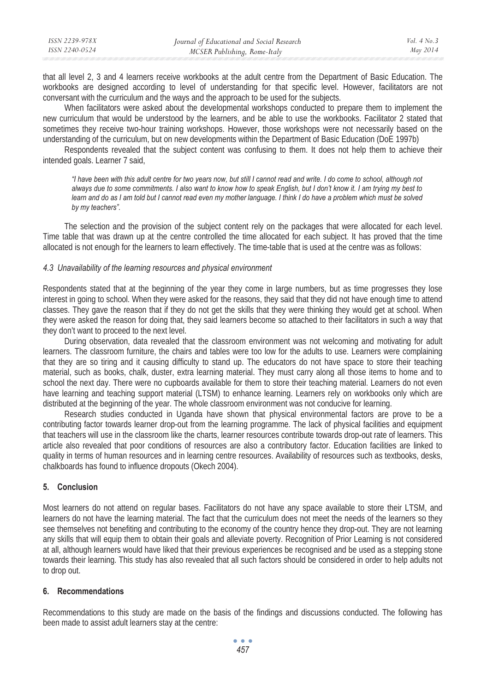| ISSN 2239-978X | Journal of Educational and Social Research | Vol $4$ No $3$ |
|----------------|--------------------------------------------|----------------|
| ISSN 2240-0524 | MCSER Publishing, Rome-Italy               | May 2014       |
|                |                                            |                |

that all level 2, 3 and 4 learners receive workbooks at the adult centre from the Department of Basic Education. The workbooks are designed according to level of understanding for that specific level. However, facilitators are not conversant with the curriculum and the ways and the approach to be used for the subjects.

When facilitators were asked about the developmental workshops conducted to prepare them to implement the new curriculum that would be understood by the learners, and be able to use the workbooks. Facilitator 2 stated that sometimes they receive two-hour training workshops. However, those workshops were not necessarily based on the understanding of the curriculum, but on new developments within the Department of Basic Education (DoE 1997b)

Respondents revealed that the subject content was confusing to them. It does not help them to achieve their intended goals. Learner 7 said,

*"I have been with this adult centre for two years now, but still I cannot read and write. I do come to school, although not always due to some commitments. I also want to know how to speak English, but I don't know it. I am trying my best to*  learn and do as I am told but I cannot read even my mother language. I think I do have a problem which must be solved *by my teachers".* 

The selection and the provision of the subject content rely on the packages that were allocated for each level. Time table that was drawn up at the centre controlled the time allocated for each subject. It has proved that the time allocated is not enough for the learners to learn effectively. The time-table that is used at the centre was as follows:

### *4.3 Unavailability of the learning resources and physical environment*

Respondents stated that at the beginning of the year they come in large numbers, but as time progresses they lose interest in going to school. When they were asked for the reasons, they said that they did not have enough time to attend classes. They gave the reason that if they do not get the skills that they were thinking they would get at school. When they were asked the reason for doing that, they said learners become so attached to their facilitators in such a way that they don't want to proceed to the next level.

During observation, data revealed that the classroom environment was not welcoming and motivating for adult learners. The classroom furniture, the chairs and tables were too low for the adults to use. Learners were complaining that they are so tiring and it causing difficulty to stand up. The educators do not have space to store their teaching material, such as books, chalk, duster, extra learning material. They must carry along all those items to home and to school the next day. There were no cupboards available for them to store their teaching material. Learners do not even have learning and teaching support material (LTSM) to enhance learning. Learners rely on workbooks only which are distributed at the beginning of the year. The whole classroom environment was not conducive for learning.

Research studies conducted in Uganda have shown that physical environmental factors are prove to be a contributing factor towards learner drop-out from the learning programme. The lack of physical facilities and equipment that teachers will use in the classroom like the charts, learner resources contribute towards drop-out rate of learners. This article also revealed that poor conditions of resources are also a contributory factor. Education facilities are linked to quality in terms of human resources and in learning centre resources. Availability of resources such as textbooks, desks, chalkboards has found to influence dropouts (Okech 2004).

### **5. Conclusion**

Most learners do not attend on regular bases. Facilitators do not have any space available to store their LTSM, and learners do not have the learning material. The fact that the curriculum does not meet the needs of the learners so they see themselves not benefiting and contributing to the economy of the country hence they drop-out. They are not learning any skills that will equip them to obtain their goals and alleviate poverty. Recognition of Prior Learning is not considered at all, although learners would have liked that their previous experiences be recognised and be used as a stepping stone towards their learning. This study has also revealed that all such factors should be considered in order to help adults not to drop out.

### **6. Recommendations**

Recommendations to this study are made on the basis of the findings and discussions conducted. The following has been made to assist adult learners stay at the centre: